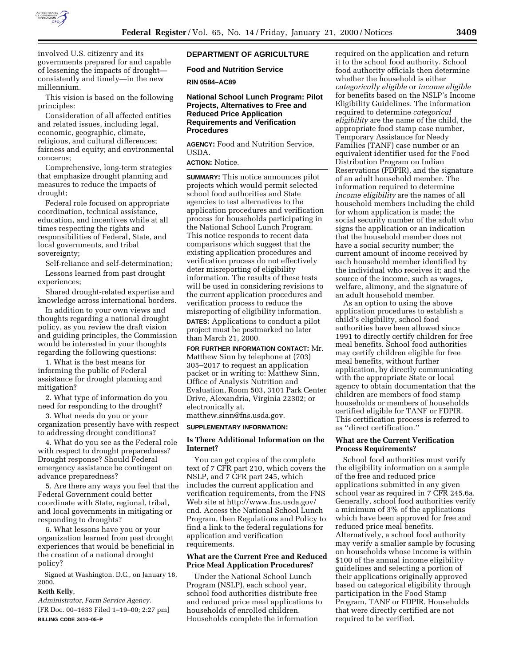

involved U.S. citizenry and its governments prepared for and capable of lessening the impacts of drought consistently and timely—in the new millennium.

This vision is based on the following principles:

Consideration of all affected entities and related issues, including legal, economic, geographic, climate, religious, and cultural differences; fairness and equity; and environmental concerns;

Comprehensive, long-term strategies that emphasize drought planning and measures to reduce the impacts of drought;

Federal role focused on appropriate coordination, technical assistance, education, and incentives while at all times respecting the rights and responsibilities of Federal, State, and local governments, and tribal sovereignty;

Self-reliance and self-determination; Lessons learned from past drought experiences;

Shared drought-related expertise and knowledge across international borders.

In addition to your own views and thoughts regarding a national drought policy, as you review the draft vision and guiding principles, the Commission would be interested in your thoughts regarding the following questions:

1. What is the best means for informing the public of Federal assistance for drought planning and mitigation?

2. What type of information do you need for responding to the drought?

3. What needs do you or your organization presently have with respect to addressing drought conditions?

4. What do you see as the Federal role with respect to drought preparedness? Drought response? Should Federal emergency assistance be contingent on advance preparedness?

5. Are there any ways you feel that the Federal Government could better coordinate with State, regional, tribal, and local governments in mitigating or responding to droughts?

6. What lessons have you or your organization learned from past drought experiences that would be beneficial in the creation of a national drought policy?

Signed at Washington, D.C., on January 18, 2000.

# **Keith Kelly,**

*Administrator, Farm Service Agency.* [FR Doc. 00–1633 Filed 1–19–00; 2:27 pm] **BILLING CODE 3410–05–P**

# **DEPARTMENT OF AGRICULTURE**

**Food and Nutrition Service**

**RIN 0584–AC89**

# **National School Lunch Program: Pilot Projects, Alternatives to Free and Reduced Price Application Requirements and Verification Procedures**

**AGENCY:** Food and Nutrition Service, USDA.

# **ACTION:** Notice.

**SUMMARY:** This notice announces pilot projects which would permit selected school food authorities and State agencies to test alternatives to the application procedures and verification process for households participating in the National School Lunch Program. This notice responds to recent data comparisons which suggest that the existing application procedures and verification process do not effectively deter misreporting of eligibility information. The results of these tests will be used in considering revisions to the current application procedures and verification process to reduce the misreporting of eligibility information.

**DATES:** Applications to conduct a pilot project must be postmarked no later than March 21, 2000.

**FOR FURTHER INFORMATION CONTACT:** Mr. Matthew Sinn by telephone at (703) 305–2017 to request an application packet or in writing to: Matthew Sinn, Office of Analysis Nutrition and Evaluation, Room 503, 3101 Park Center Drive, Alexandria, Virginia 22302; or electronically at,

# matthew.sinn@fns.usda.gov.

# **SUPPLEMENTARY INFORMATION:**

# **Is There Additional Information on the Internet?**

You can get copies of the complete text of 7 CFR part 210, which covers the NSLP, and 7 CFR part 245, which includes the current application and verification requirements, from the FNS Web site at http://www.fns.usda.gov/ cnd. Access the National School Lunch Program, then Regulations and Policy to find a link to the federal regulations for application and verification requirements.

# **What are the Current Free and Reduced Price Meal Application Procedures?**

Under the National School Lunch Program (NSLP), each school year, school food authorities distribute free and reduced price meal applications to households of enrolled children. Households complete the information

required on the application and return it to the school food authority. School food authority officials then determine whether the household is either *categorically eligible* or *income eligible* for benefits based on the NSLP's Income Eligibility Guidelines. The information required to determine *categorical eligibility* are the name of the child, the appropriate food stamp case number, Temporary Assistance for Needy Families (TANF) case number or an equivalent identifier used for the Food Distribution Program on Indian Reservations (FDPIR), and the signature of an adult household member. The information required to determine *income eligibility* are the names of all household members including the child for whom application is made; the social security number of the adult who signs the application or an indication that the household member does not have a social security number; the current amount of income received by each household member identified by the individual who receives it; and the source of the income, such as wages, welfare, alimony, and the signature of an adult household member.

As an option to using the above application procedures to establish a child's eligibility, school food authorities have been allowed since 1991 to directly certify children for free meal benefits. School food authorities may certify children eligible for free meal benefits, without further application, by directly communicating with the appropriate State or local agency to obtain documentation that the children are members of food stamp households or members of households certified eligible for TANF or FDPIR. This certification process is referred to as ''direct certification.''

### **What are the Current Verification Process Requirements?**

School food authorities must verify the eligibility information on a sample of the free and reduced price applications submitted in any given school year as required in 7 CFR 245.6a. Generally, school food authorities verify a minimum of 3% of the applications which have been approved for free and reduced price meal benefits. Alternatively, a school food authority may verify a smaller sample by focusing on households whose income is within \$100 of the annual income eligibility guidelines and selecting a portion of their applications originally approved based on categorical eligibility through participation in the Food Stamp Program, TANF or FDPIR. Households that were directly certified are not required to be verified.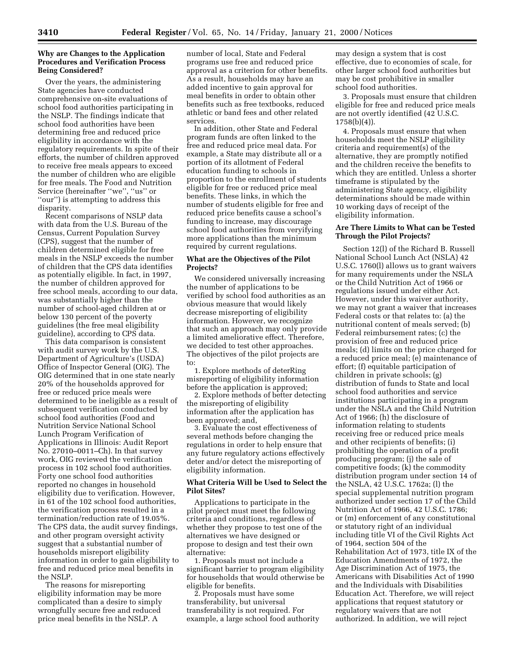# **Why are Changes to the Application Procedures and Verification Process Being Considered?**

Over the years, the administering State agencies have conducted comprehensive on-site evaluations of school food authorities participating in the NSLP. The findings indicate that school food authorities have been determining free and reduced price eligibility in accordance with the regulatory requirements. In spite of their efforts, the number of children approved to receive free meals appears to exceed the number of children who are eligible for free meals. The Food and Nutrition Service (hereinafter ''we'', ''us'' or ''our'') is attempting to address this disparity.

Recent comparisons of NSLP data with data from the U.S. Bureau of the Census, Current Population Survey (CPS), suggest that the number of children determined eligible for free meals in the NSLP exceeds the number of children that the CPS data identifies as potentially eligible. In fact, in 1997, the number of children approved for free school meals, according to our data, was substantially higher than the number of school-aged children at or below 130 percent of the poverty guidelines (the free meal eligibility guideline), according to CPS data.

This data comparison is consistent with audit survey work by the U.S. Department of Agriculture's (USDA) Office of Inspector General (OIG). The OIG determined that in one state nearly 20% of the households approved for free or reduced price meals were determined to be ineligible as a result of subsequent verification conducted by school food authorities (Food and Nutrition Service National School Lunch Program Verification of Applications in Illinois: Audit Report No. 27010–0011–Ch). In that survey work, OIG reviewed the verification process in 102 school food authorities. Forty one school food authorities reported no changes in household eligibility due to verification. However, in 61 of the 102 school food authorities, the verification process resulted in a termination/reduction rate of 19.05%. The CPS data, the audit survey findings, and other program oversight activity suggest that a substantial number of households misreport eligibility information in order to gain eligibility to free and reduced price meal benefits in the NSLP.

The reasons for misreporting eligibility information may be more complicated than a desire to simply wrongfully secure free and reduced price meal benefits in the NSLP. A

number of local, State and Federal programs use free and reduced price approval as a criterion for other benefits. As a result, households may have an added incentive to gain approval for meal benefits in order to obtain other benefits such as free textbooks, reduced athletic or band fees and other related services.

In addition, other State and Federal program funds are often linked to the free and reduced price meal data. For example, a State may distribute all or a portion of its allotment of Federal education funding to schools in proportion to the enrollment of students eligible for free or reduced price meal benefits. These links, in which the number of students eligible for free and reduced price benefits cause a school's funding to increase, may discourage school food authorities from veryifying more applications than the minimum required by current regulations.

# **What are the Objectives of the Pilot Projects?**

We considered universally increasing the number of applications to be verified by school food authorities as an obvious measure that would likely decrease misreporting of eligibility information. However, we recognize that such an approach may only provide a limited ameliorative effect. Therefore, we decided to test other approaches. The objectives of the pilot projects are to:

1. Explore methods of deterRing misreporting of eligibility information before the application is approved;

2. Explore methods of better detecting the misreporting of eligibility information after the application has been approved; and,

3. Evaluate the cost effectiveness of several methods before changing the regulations in order to help ensure that any future regulatory actions effectively deter and/or detect the misreporting of eligibility information.

# **What Criteria Will be Used to Select the Pilot Sites?**

Applications to participate in the pilot project must meet the following criteria and conditions, regardless of whether they propose to test one of the alternatives we have designed or propose to design and test their own alternative:

1. Proposals must not include a significant barrier to program eligibility for households that would otherwise be eligible for benefits.

2. Proposals must have some transferability, but universal transferability is not required. For example, a large school food authority

may design a system that is cost effective, due to economies of scale, for other larger school food authorities but may be cost prohibitive in smaller school food authorities.

3. Proposals must ensure that children eligible for free and reduced price meals are not overtly identified (42 U.S.C. 1758(b)(4)).

4. Proposals must ensure that when households meet the NSLP eligibility criteria and requirement(s) of the alternative, they are promptly notified and the children receive the benefits to which they are entitled. Unless a shorter timeframe is stipulated by the administering State agency, eligibility determinations should be made within 10 working days of receipt of the eligibility information.

# **Are There Limits to What can be Tested Through the Pilot Projects?**

Section 12(l) of the Richard B. Russell National School Lunch Act (NSLA) 42 U.S.C. 1760(l) allows us to grant waivers for many requirements under the NSLA or the Child Nutrition Act of 1966 or regulations issued under either Act. However, under this waiver authority, we may not grant a waiver that increases Federal costs or that relates to: (a) the nutritional content of meals served; (b) Federal reimbursement rates; (c) the provision of free and reduced price meals; (d) limits on the price charged for a reduced price meal; (e) maintenance of effort; (f) equitable participation of children in private schools; (g) distribution of funds to State and local school food authorities and service institutions participating in a program under the NSLA and the Child Nutrition Act of 1966; (h) the disclosure of information relating to students receiving free or reduced price meals and other recipients of benefits; (i) prohibiting the operation of a profit producing program; (j) the sale of competitive foods; (k) the commodity distribution program under section 14 of the NSLA, 42 U.S.C. 1762a; (l) the special supplemental nutrition program authorized under section 17 of the Child Nutrition Act of 1966, 42 U.S.C. 1786; or (m) enforcement of any constitutional or statutory right of an individual including title VI of the Civil Rights Act of 1964, section 504 of the Rehabilitation Act of 1973, title IX of the Education Amendments of 1972, the Age Discrimination Act of 1975, the Americans with Disabilities Act of 1990 and the Individuals with Disabilities Education Act. Therefore, we will reject applications that request statutory or regulatory waivers that are not authorized. In addition, we will reject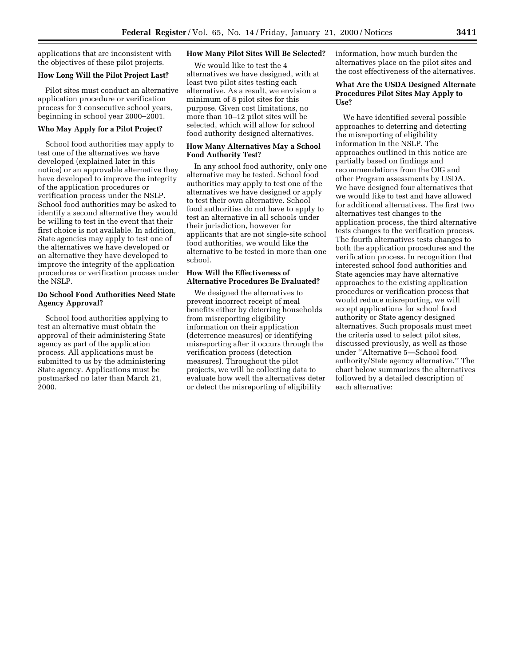applications that are inconsistent with the objectives of these pilot projects.

#### **How Long Will the Pilot Project Last?**

Pilot sites must conduct an alternative application procedure or verification process for 3 consecutive school years, beginning in school year 2000–2001.

### **Who May Apply for a Pilot Project?**

School food authorities may apply to test one of the alternatives we have developed (explained later in this notice) or an approvable alternative they have developed to improve the integrity of the application procedures or verification process under the NSLP. School food authorities may be asked to identify a second alternative they would be willing to test in the event that their first choice is not available. In addition, State agencies may apply to test one of the alternatives we have developed or an alternative they have developed to improve the integrity of the application procedures or verification process under the NSLP.

# **Do School Food Authorities Need State Agency Approval?**

School food authorities applying to test an alternative must obtain the approval of their administering State agency as part of the application process. All applications must be submitted to us by the administering State agency. Applications must be postmarked no later than March 21, 2000.

# **How Many Pilot Sites Will Be Selected?**

We would like to test the 4 alternatives we have designed, with at least two pilot sites testing each alternative. As a result, we envision a minimum of 8 pilot sites for this purpose. Given cost limitations, no more than 10–12 pilot sites will be selected, which will allow for school food authority designed alternatives.

# **How Many Alternatives May a School Food Authority Test?**

In any school food authority, only one alternative may be tested. School food authorities may apply to test one of the alternatives we have designed or apply to test their own alternative. School food authorities do not have to apply to test an alternative in all schools under their jurisdiction, however for applicants that are not single-site school food authorities, we would like the alternative to be tested in more than one school.

# **How Will the Effectiveness of Alternative Procedures Be Evaluated?**

We designed the alternatives to prevent incorrect receipt of meal benefits either by deterring households from misreporting eligibility information on their application (deterrence measures) or identifying misreporting after it occurs through the verification process (detection measures). Throughout the pilot projects, we will be collecting data to evaluate how well the alternatives deter or detect the misreporting of eligibility

information, how much burden the alternatives place on the pilot sites and the cost effectiveness of the alternatives.

# **What Are the USDA Designed Alternate Procedures Pilot Sites May Apply to Use?**

We have identified several possible approaches to deterring and detecting the misreporting of eligibility information in the NSLP. The approaches outlined in this notice are partially based on findings and recommendations from the OIG and other Program assessments by USDA. We have designed four alternatives that we would like to test and have allowed for additional alternatives. The first two alternatives test changes to the application process, the third alternative tests changes to the verification process. The fourth alternatives tests changes to both the application procedures and the verification process. In recognition that interested school food authorities and State agencies may have alternative approaches to the existing application procedures or verification process that would reduce misreporting, we will accept applications for school food authority or State agency designed alternatives. Such proposals must meet the criteria used to select pilot sites, discussed previously, as well as those under ''Alternative 5—School food authority/State agency alternative.'' The chart below summarizes the alternatives followed by a detailed description of each alternative: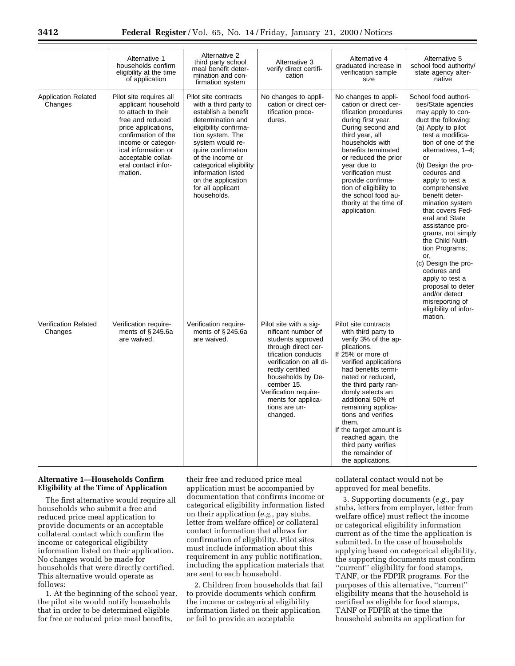|                                       | Alternative 1<br>households confirm<br>eligibility at the time<br>of application                                                                                                                                                            | Alternative 2<br>third party school<br>meal benefit deter-<br>mination and con-<br>firmation system                                                                                                                                                                                                             | Alternative 3<br>verify direct certifi-<br>cation                                                                                                                                                                                                                             | Alternative 4<br>graduated increase in<br>verification sample<br>size                                                                                                                                                                                                                                                                                                                                                | Alternative 5<br>school food authority/<br>state agency alter-<br>native                                                                                                                                                                                                                                                                                                                                                                                                                                                                                                            |
|---------------------------------------|---------------------------------------------------------------------------------------------------------------------------------------------------------------------------------------------------------------------------------------------|-----------------------------------------------------------------------------------------------------------------------------------------------------------------------------------------------------------------------------------------------------------------------------------------------------------------|-------------------------------------------------------------------------------------------------------------------------------------------------------------------------------------------------------------------------------------------------------------------------------|----------------------------------------------------------------------------------------------------------------------------------------------------------------------------------------------------------------------------------------------------------------------------------------------------------------------------------------------------------------------------------------------------------------------|-------------------------------------------------------------------------------------------------------------------------------------------------------------------------------------------------------------------------------------------------------------------------------------------------------------------------------------------------------------------------------------------------------------------------------------------------------------------------------------------------------------------------------------------------------------------------------------|
| <b>Application Related</b><br>Changes | Pilot site requires all<br>applicant household<br>to attach to their<br>free and reduced<br>price applications,<br>confirmation of the<br>income or categor-<br>ical information or<br>acceptable collat-<br>eral contact infor-<br>mation. | Pilot site contracts<br>with a third party to<br>establish a benefit<br>determination and<br>eligibility confirma-<br>tion system. The<br>system would re-<br>quire confirmation<br>of the income or<br>categorical eligibility<br>information listed<br>on the application<br>for all applicant<br>households. | No changes to appli-<br>cation or direct cer-<br>tification proce-<br>dures.                                                                                                                                                                                                  | No changes to appli-<br>cation or direct cer-<br>tification procedures<br>during first year.<br>During second and<br>third year, all<br>households with<br>benefits terminated<br>or reduced the prior<br>year due to<br>verification must<br>provide confirma-<br>tion of eligibility to<br>the school food au-<br>thority at the time of<br>application.                                                           | School food authori-<br>ties/State agencies<br>may apply to con-<br>duct the following:<br>(a) Apply to pilot<br>test a modifica-<br>tion of one of the<br>alternatives, 1-4;<br>or<br>(b) Design the pro-<br>cedures and<br>apply to test a<br>comprehensive<br>benefit deter-<br>mination system<br>that covers Fed-<br>eral and State<br>assistance pro-<br>grams, not simply<br>the Child Nutri-<br>tion Programs;<br>or,<br>(c) Design the pro-<br>cedures and<br>apply to test a<br>proposal to deter<br>and/or detect<br>misreporting of<br>eligibility of infor-<br>mation. |
| Verification Related<br>Changes       | Verification require-<br>ments of $§$ 245.6a<br>are waived.                                                                                                                                                                                 | Verification require-<br>ments of $§$ 245.6a<br>are waived.                                                                                                                                                                                                                                                     | Pilot site with a sig-<br>nificant number of<br>students approved<br>through direct cer-<br>tification conducts<br>verification on all di-<br>rectly certified<br>households by De-<br>cember 15.<br>Verification require-<br>ments for applica-<br>tions are un-<br>changed. | Pilot site contracts<br>with third party to<br>verify 3% of the ap-<br>plications.<br>If 25% or more of<br>verified applications<br>had benefits termi-<br>nated or reduced.<br>the third party ran-<br>domly selects an<br>additional 50% of<br>remaining applica-<br>tions and verifies<br>them.<br>If the target amount is<br>reached again, the<br>third party verifies<br>the remainder of<br>the applications. |                                                                                                                                                                                                                                                                                                                                                                                                                                                                                                                                                                                     |

# **Alternative 1—Households Confirm Eligibility at the Time of Application**

The first alternative would require all households who submit a free and reduced price meal application to provide documents or an acceptable collateral contact which confirm the income or categorical eligibility information listed on their application. No changes would be made for households that were directly certified. This alternative would operate as follows:

1. At the beginning of the school year, the pilot site would notify households that in order to be determined eligible for free or reduced price meal benefits,

their free and reduced price meal application must be accompanied by documentation that confirms income or categorical eligibility information listed on their application (*e.g.,* pay stubs, letter from welfare office) or collateral contact information that allows for confirmation of eligibility. Pilot sites must include information about this requirement in any public notification, including the application materials that are sent to each household.

2. Children from households that fail to provide documents which confirm the income or categorical eligibility information listed on their application or fail to provide an acceptable

collateral contact would not be approved for meal benefits.

3. Supporting documents (*e.g.,* pay stubs, letters from employer, letter from welfare office) must reflect the income or categorical eligibility information current as of the time the application is submitted. In the case of households applying based on categorical eligibility, the supporting documents must confirm ''current'' eligibility for food stamps, TANF, or the FDPIR programs. For the purposes of this alternative, ''current'' eligibility means that the household is certified as eligible for food stamps, TANF or FDPIR at the time the household submits an application for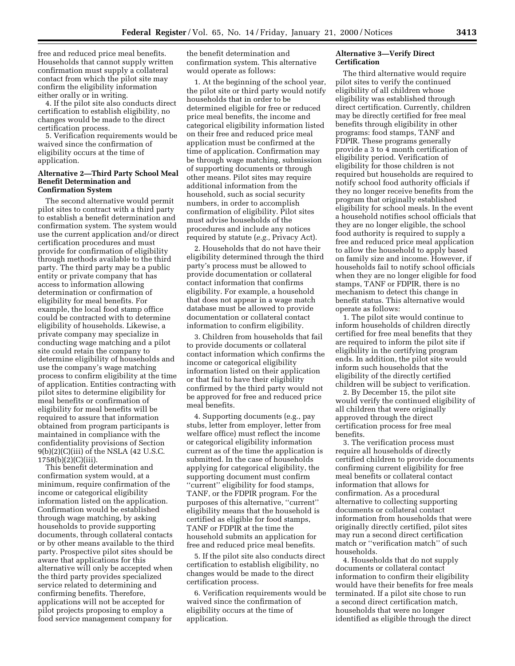free and reduced price meal benefits. Households that cannot supply written confirmation must supply a collateral contact from which the pilot site may confirm the eligibility information either orally or in writing.

4. If the pilot site also conducts direct certification to establish eligibility, no changes would be made to the direct certification process.

5. Verification requirements would be waived since the confirmation of eligibility occurs at the time of application.

### **Alternative 2—Third Party School Meal Benefit Determination and Confirmation System**

The second alternative would permit pilot sites to contract with a third party to establish a benefit determination and confirmation system. The system would use the current application and/or direct certification procedures and must provide for confirmation of eligibility through methods available to the third party. The third party may be a public entity or private company that has access to information allowing determination or confirmation of eligibility for meal benefits. For example, the local food stamp office could be contracted with to determine eligibility of households. Likewise, a private company may specialize in conducting wage matching and a pilot site could retain the company to determine eligibility of households and use the company's wage matching process to confirm eligibility at the time of application. Entities contracting with pilot sites to determine eligibility for meal benefits or confirmation of eligibility for meal benefits will be required to assure that information obtained from program participants is maintained in compliance with the confidentiality provisions of Section 9(b)(2)(C)(iii) of the NSLA (42 U.S.C. 1758(b)(2)(C)(iii).

This benefit determination and confirmation system would, at a minimum, require confirmation of the income or categorical eligibility information listed on the application. Confirmation would be established through wage matching, by asking households to provide supporting documents, through collateral contacts or by other means available to the third party. Prospective pilot sites should be aware that applications for this alternative will only be accepted when the third party provides specialized service related to determining and confirming benefits. Therefore, applications will not be accepted for pilot projects proposing to employ a food service management company for

the benefit determination and confirmation system. This alternative would operate as follows:

1. At the beginning of the school year, the pilot site or third party would notify households that in order to be determined eligible for free or reduced price meal benefits, the income and categorical eligibility information listed on their free and reduced price meal application must be confirmed at the time of application. Confirmation may be through wage matching, submission of supporting documents or through other means. Pilot sites may require additional information from the household, such as social security numbers, in order to accomplish confirmation of eligibility. Pilot sites must advise households of the procedures and include any notices required by statute (*e.g.,* Privacy Act).

2. Households that do not have their eligibility determined through the third party's process must be allowed to provide documentation or collateral contact information that confirms eligibility. For example, a household that does not appear in a wage match database must be allowed to provide documentation or collateral contact information to confirm eligibility.

3. Children from households that fail to provide documents or collateral contact information which confirms the income or categorical eligibility information listed on their application or that fail to have their eligibility confirmed by the third party would not be approved for free and reduced price meal benefits.

4. Supporting documents (e.g., pay stubs, letter from employer, letter from welfare office) must reflect the income or categorical eligibility information current as of the time the application is submitted. In the case of households applying for categorical eligibility, the supporting document must confirm ''current'' eligibility for food stamps, TANF, or the FDPIR program. For the purposes of this alternative, ''current'' eligibility means that the household is certified as eligible for food stamps, TANF or FDPIR at the time the household submits an application for free and reduced price meal benefits.

5. If the pilot site also conducts direct certification to establish eligibility, no changes would be made to the direct certification process.

6. Verification requirements would be waived since the confirmation of eligibility occurs at the time of application.

# **Alternative 3—Verify Direct Certification**

The third alternative would require pilot sites to verify the continued eligibility of all children whose eligibility was established through direct certification. Currently, children may be directly certified for free meal benefits through eligibility in other programs: food stamps, TANF and FDPIR. These programs generally provide a 3 to 4 month certification of eligibility period. Verification of eligibility for those children is not required but households are required to notify school food authority officials if they no longer receive benefits from the program that originally established eligibility for school meals. In the event a household notifies school officials that they are no longer eligible, the school food authority is required to supply a free and reduced price meal application to allow the household to apply based on family size and income. However, if households fail to notify school officials when they are no longer eligible for food stamps, TANF or FDPIR, there is no mechanism to detect this change in benefit status. This alternative would operate as follows:

1. The pilot site would continue to inform households of children directly certified for free meal benefits that they are required to inform the pilot site if eligibility in the certifying program ends. In addition, the pilot site would inform such households that the eligibility of the directly certified children will be subject to verification.

2. By December 15, the pilot site would verify the continued eligibility of all children that were originally approved through the direct certification process for free meal benefits.

3. The verification process must require all households of directly certified children to provide documents confirming current eligibility for free meal benefits or collateral contact information that allows for confirmation. As a procedural alternative to collecting supporting documents or collateral contact information from households that were originally directly certified, pilot sites may run a second direct certification match or ''verification match'' of such households.

4. Households that do not supply documents or collateral contact information to confirm their eligibility would have their benefits for free meals terminated. If a pilot site chose to run a second direct certification match, households that were no longer identified as eligible through the direct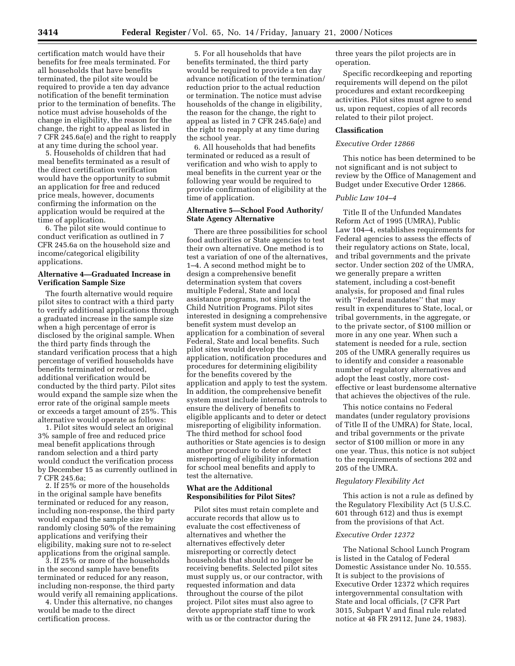certification match would have their benefits for free meals terminated. For all households that have benefits terminated, the pilot site would be required to provide a ten day advance notification of the benefit termination prior to the termination of benefits. The notice must advise households of the change in eligibility, the reason for the change, the right to appeal as listed in 7 CFR 245.6a(e) and the right to reapply at any time during the school year.

5. Households of children that had meal benefits terminated as a result of the direct certification verification would have the opportunity to submit an application for free and reduced price meals, however, documents confirming the information on the application would be required at the time of application.

6. The pilot site would continue to conduct verification as outlined in 7 CFR 245.6a on the household size and income/categorical eligibility applications.

#### **Alternative 4—Graduated Increase in Verification Sample Size**

The fourth alternative would require pilot sites to contract with a third party to verify additional applications through a graduated increase in the sample size when a high percentage of error is disclosed by the original sample. When the third party finds through the standard verification process that a high percentage of verified households have benefits terminated or reduced, additional verification would be conducted by the third party. Pilot sites would expand the sample size when the error rate of the original sample meets or exceeds a target amount of 25%. This alternative would operate as follows:

1. Pilot sites would select an original 3% sample of free and reduced price meal benefit applications through random selection and a third party would conduct the verification process by December 15 as currently outlined in 7 CFR 245.6a;

2. If 25% or more of the households in the original sample have benefits terminated or reduced for any reason, including non-response, the third party would expand the sample size by randomly closing 50% of the remaining applications and verifying their eligibility, making sure not to re-select applications from the original sample.

3. If 25% or more of the households in the second sample have benefits terminated or reduced for any reason, including non-response, the third party would verify all remaining applications.

4. Under this alternative, no changes would be made to the direct certification process.

5. For all households that have benefits terminated, the third party would be required to provide a ten day advance notification of the termination/ reduction prior to the actual reduction or termination. The notice must advise households of the change in eligibility, the reason for the change, the right to appeal as listed in 7 CFR 245.6a(e) and the right to reapply at any time during the school year.

6. All households that had benefits terminated or reduced as a result of verification and who wish to apply to meal benefits in the current year or the following year would be required to provide confirmation of eligibility at the time of application.

### **Alternative 5—School Food Authority/ State Agency Alternative**

There are three possibilities for school food authorities or State agencies to test their own alternative. One method is to test a variation of one of the alternatives, 1–4. A second method might be to design a comprehensive benefit determination system that covers multiple Federal, State and local assistance programs, not simply the Child Nutrition Programs. Pilot sites interested in designing a comprehensive benefit system must develop an application for a combination of several Federal, State and local benefits. Such pilot sites would develop the application, notification procedures and procedures for determining eligibility for the benefits covered by the application and apply to test the system. In addition, the comprehensive benefit system must include internal controls to ensure the delivery of benefits to eligible applicants and to deter or detect misreporting of eligibility information. The third method for school food authorities or State agencies is to design another procedure to deter or detect misreporting of eligibility information for school meal benefits and apply to test the alternative.

### **What are the Additional Responsibilities for Pilot Sites?**

Pilot sites must retain complete and accurate records that allow us to evaluate the cost effectiveness of alternatives and whether the alternatives effectively deter misreporting or correctly detect households that should no longer be receiving benefits. Selected pilot sites must supply us, or our contractor, with requested information and data throughout the course of the pilot project. Pilot sites must also agree to devote appropriate staff time to work with us or the contractor during the

three years the pilot projects are in operation.

Specific recordkeeping and reporting requirements will depend on the pilot procedures and extant recordkeeping activities. Pilot sites must agree to send us, upon request, copies of all records related to their pilot project.

#### **Classification**

### *Executive Order 12866*

This notice has been determined to be not significant and is not subject to review by the Office of Management and Budget under Executive Order 12866.

# *Public Law 104–4*

Title II of the Unfunded Mandates Reform Act of 1995 (UMRA), Public Law 104–4, establishes requirements for Federal agencies to assess the effects of their regulatory actions on State, local, and tribal governments and the private sector. Under section 202 of the UMRA, we generally prepare a written statement, including a cost-benefit analysis, for proposed and final rules with ''Federal mandates'' that may result in expenditures to State, local, or tribal governments, in the aggregate, or to the private sector, of \$100 million or more in any one year. When such a statement is needed for a rule, section 205 of the UMRA generally requires us to identify and consider a reasonable number of regulatory alternatives and adopt the least costly, more costeffective or least burdensome alternative that achieves the objectives of the rule.

This notice contains no Federal mandates (under regulatory provisions of Title II of the UMRA) for State, local, and tribal governments or the private sector of \$100 million or more in any one year. Thus, this notice is not subject to the requirements of sections 202 and 205 of the UMRA.

# *Regulatory Flexibility Act*

This action is not a rule as defined by the Regulatory Flexibility Act (5 U.S.C. 601 through 612) and thus is exempt from the provisions of that Act.

# *Executive Order 12372*

The National School Lunch Program is listed in the Catalog of Federal Domestic Assistance under No. 10.555. It is subject to the provisions of Executive Order 12372 which requires intergovernmental consultation with State and local officials, (7 CFR Part 3015, Subpart V and final rule related notice at 48 FR 29112, June 24, 1983).